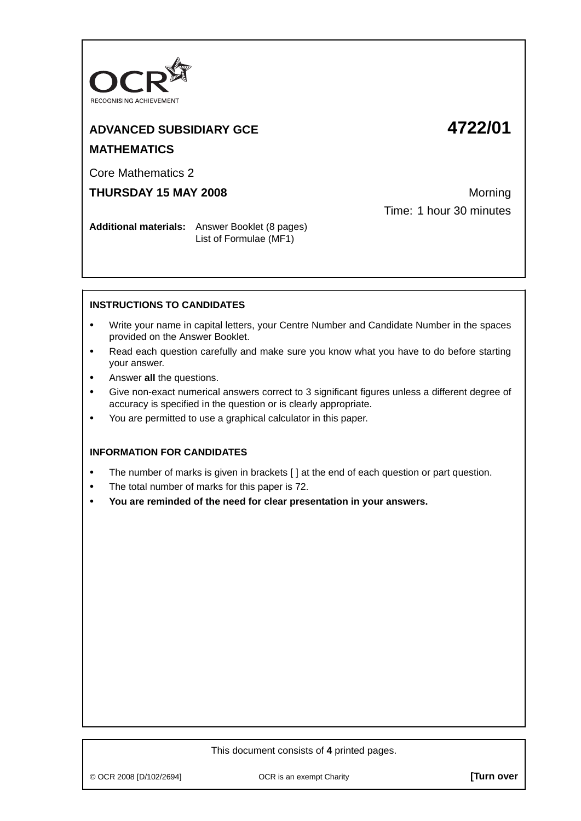

# **ADVANCED SUBSIDIARY GCE 4722/01 MATHEMATICS**

Core Mathematics 2

### **THURSDAY 15 MAY 2008** Morning

Time: 1 hour 30 minutes

**Additional materials:** Answer Booklet (8 pages) List of Formulae (MF1)

#### **INSTRUCTIONS TO CANDIDATES**

- **•** Write your name in capital letters, your Centre Number and Candidate Number in the spaces provided on the Answer Booklet.
- **•** Read each question carefully and make sure you know what you have to do before starting your answer.
- **•** Answer **all** the questions.
- **•** Give non-exact numerical answers correct to 3 significant figures unless a different degree of accuracy is specified in the question or is clearly appropriate.
- **•** You are permitted to use a graphical calculator in this paper.

#### **INFORMATION FOR CANDIDATES**

- The number of marks is given in brackets [ ] at the end of each question or part question.
- **•** The total number of marks for this paper is 72.
- **• You are reminded of the need for clear presentation in your answers.**

#### This document consists of **4** printed pages.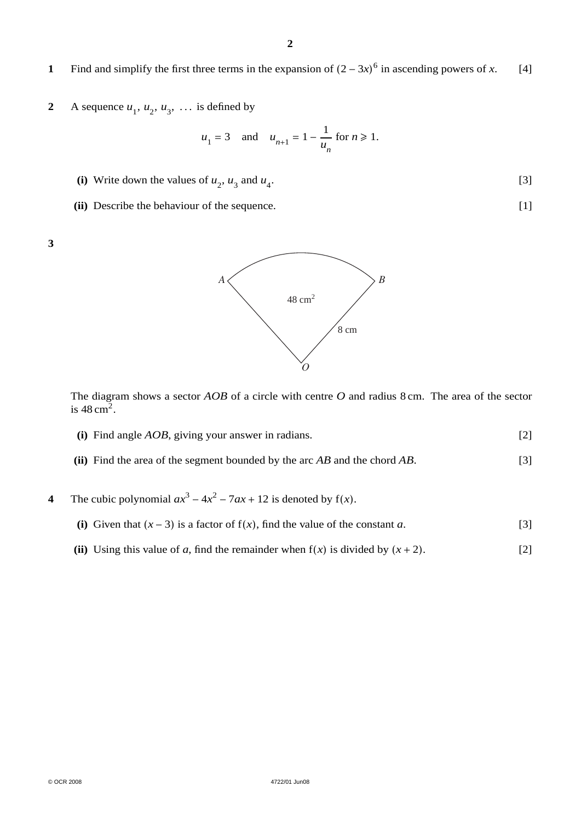## **1** Find and simplify the first three terms in the expansion of  $(2 - 3x)^6$  in ascending powers of *x*. [4]

**2** A sequence  $u_1$ ,  $u_2$ ,  $u_3$ , ... is defined by

$$
u_1 = 3
$$
 and  $u_{n+1} = 1 - \frac{1}{u_n}$  for  $n \ge 1$ .

- (i) Write down the values of  $u_2$ ,  $u_3$  and  $u_4$ . [3]
- **(ii)** Describe the behaviour of the sequence. [1]





The diagram shows a sector *AOB* of a circle with centre *O* and radius 8 cm. The area of the sector is  $48 \text{ cm}^2$ .

- **(i)** Find angle *AOB*, giving your answer in radians. [2]
- **(ii)** Find the area of the segment bounded by the arc *AB* and the chord *AB*. [3]
- **4** The cubic polynomial  $ax^3 4x^2 7ax + 12$  is denoted by  $f(x)$ .
	- (i) Given that  $(x 3)$  is a factor of  $f(x)$ , find the value of the constant *a*. [3]
	- **(ii)** Using this value of *a*, find the remainder when  $f(x)$  is divided by  $(x + 2)$ . [2]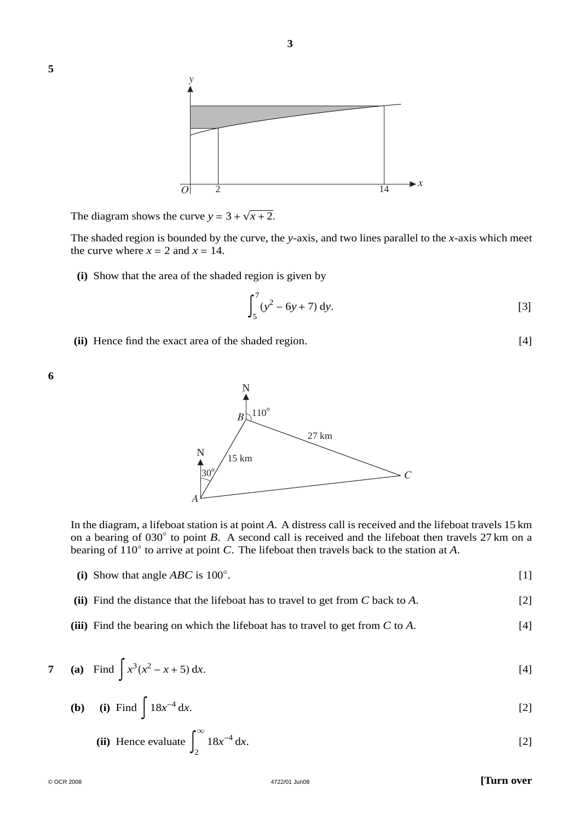

The diagram shows the curve  $y = 3 + \sqrt{x + 2}$ .

The shaded region is bounded by the curve, the *y*-axis, and two lines parallel to the *x*-axis which meet the curve where  $x = 2$  and  $x = 14$ .

**(i)** Show that the area of the shaded region is given by

$$
\int_{5}^{7} (y^2 - 6y + 7) \, \mathrm{d}y. \tag{3}
$$

**(ii)** Hence find the exact area of the shaded region. [4]



**5**



In the diagram, a lifeboat station is at point *A*. A distress call is received and the lifeboat travels 15 km on a bearing of 030◦ to point *B*. A second call is received and the lifeboat then travels 27 km on a bearing of 110◦ to arrive at point *C*. The lifeboat then travels back to the station at *A*.

- **(i)** Show that angle *ABC* is 100◦ .  $[1]$
- **(ii)** Find the distance that the lifeboat has to travel to get from *C* back to *A*. [2]
- **(iii)** Find the bearing on which the lifeboat has to travel to get from *C* to *A*. [4]

7 (a) Find 
$$
\int x^3(x^2 - x + 5) dx
$$
. [4]

**(b) (i)** Find 
$$
\int 18x^{-4} dx
$$
. [2]

(ii) Hence evaluate 
$$
\int_{2}^{\infty} 18x^{-4} dx.
$$
 [2]